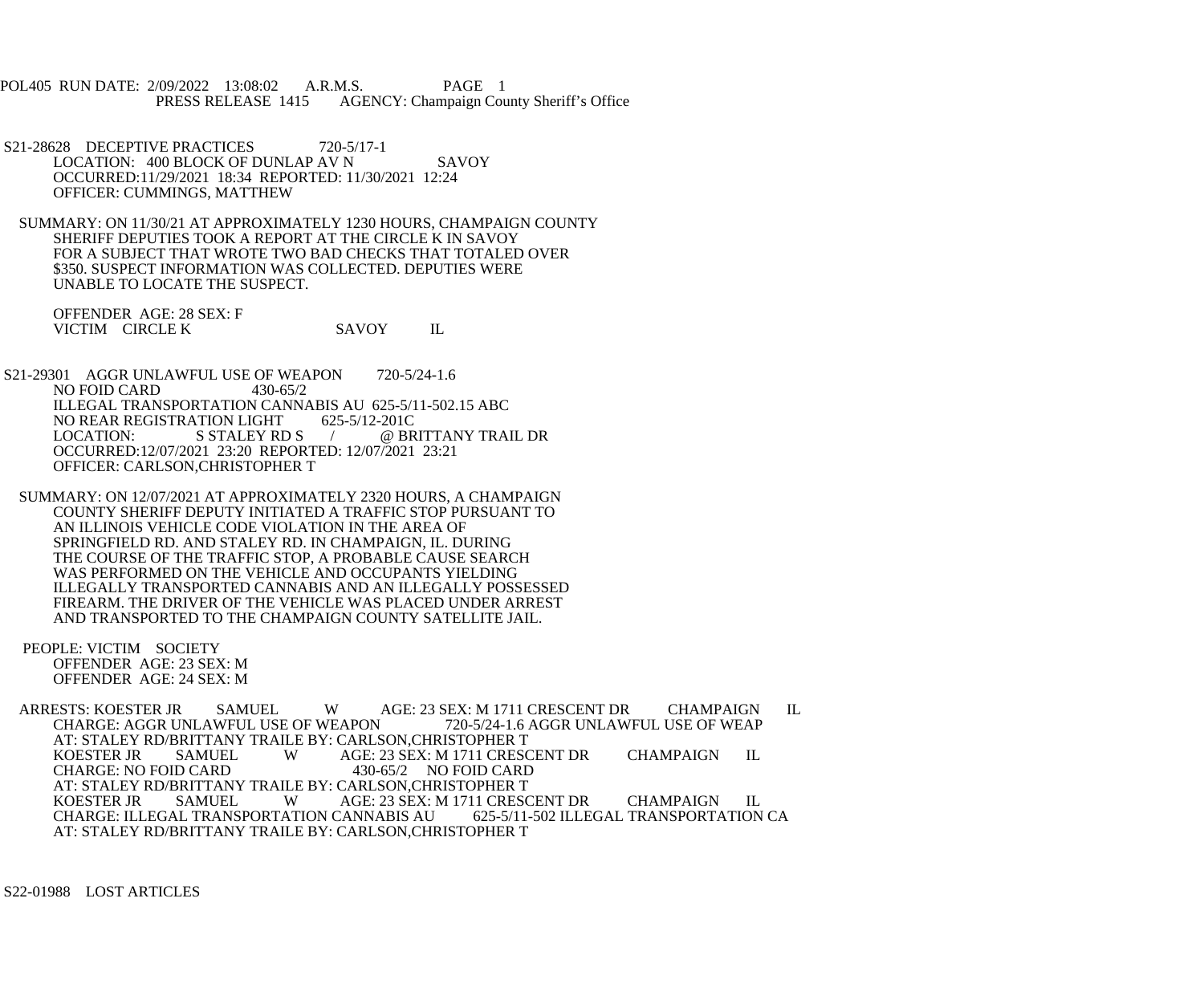POL405 RUN DATE: 2/09/2022 13:08:02 A.R.M.S. PAGE 1<br>PRESS RELEASE 1415 AGENCY: Champaign Cou AGENCY: Champaign County Sheriff's Office

S21-28628 DECEPTIVE PRACTICES 720-5/17-1 LOCATION: 400 BLOCK OF DUNLAP AV N SAVOY OCCURRED:11/29/2021 18:34 REPORTED: 11/30/2021 12:24 OFFICER: CUMMINGS, MATTHEW

 SUMMARY: ON 11/30/21 AT APPROXIMATELY 1230 HOURS, CHAMPAIGN COUNTY SHERIFF DEPUTIES TOOK A REPORT AT THE CIRCLE K IN SAVOY FOR A SUBJECT THAT WROTE TWO BAD CHECKS THAT TOTALED OVER \$350. SUSPECT INFORMATION WAS COLLECTED. DEPUTIES WERE UNABLE TO LOCATE THE SUSPECT.

 OFFENDER AGE: 28 SEX: F VICTIM CIRCLE K SAVOY IL

S21-29301 AGGR UNLAWFUL USE OF WEAPON 720-5/24-1.6<br>NO FOID CARD 430-65/2 NO FOID CARD ILLEGAL TRANSPORTATION CANNABIS AU 625-5/11-502.15 ABC<br>NO REAR REGISTRATION LIGHT 625-5/12-201C NO REAR REGISTRATION LIGHT<br>LOCATION: S STALEY RD S / @ BRITTANY TRAIL DR OCCURRED:12/07/2021 23:20 REPORTED: 12/07/2021 23:21 OFFICER: CARLSON,CHRISTOPHER T

 SUMMARY: ON 12/07/2021 AT APPROXIMATELY 2320 HOURS, A CHAMPAIGN COUNTY SHERIFF DEPUTY INITIATED A TRAFFIC STOP PURSUANT TO AN ILLINOIS VEHICLE CODE VIOLATION IN THE AREA OF SPRINGFIELD RD. AND STALEY RD. IN CHAMPAIGN, IL. DURING THE COURSE OF THE TRAFFIC STOP, A PROBABLE CAUSE SEARCH WAS PERFORMED ON THE VEHICLE AND OCCUPANTS YIELDING ILLEGALLY TRANSPORTED CANNABIS AND AN ILLEGALLY POSSESSED FIREARM. THE DRIVER OF THE VEHICLE WAS PLACED UNDER ARREST AND TRANSPORTED TO THE CHAMPAIGN COUNTY SATELLITE JAIL.

 PEOPLE: VICTIM SOCIETY OFFENDER AGE: 23 SEX: M OFFENDER AGE: 24 SEX: M

ARRESTS: KOESTER JR SAMUEL WAGE: 23 SEX: M 1711 CRESCENT DR CHAMPAIGN IL CHARGE: AGGR UNLAWFUL USE OF WEAP CHARGE: AGGR UNLAWFUL USE OF WEAPON AT: STALEY RD/BRITTANY TRAILE BY: CARLSON,CHRISTOPHER T AGE: 23 SEX: M 1711 CRESCENT DR CHAMPAIGN IL<br>430-65/2 NO FOID CARD CHARGE: NO FOID CARD AT: STALEY RD/BRITTANY TRAILE BY: CARLSON,CHRISTOPHER T AGE: 23 SEX: M 1711 CRESCENT DR CHAMPAIGN IL<br>CANNABIS AU 625-5/11-502 ILLEGAL TRANSPORTATION CA CHARGE: ILLEGAL TRANSPORTATION CANNABIS AU AT: STALEY RD/BRITTANY TRAILE BY: CARLSON,CHRISTOPHER T

S22-01988 LOST ARTICLES